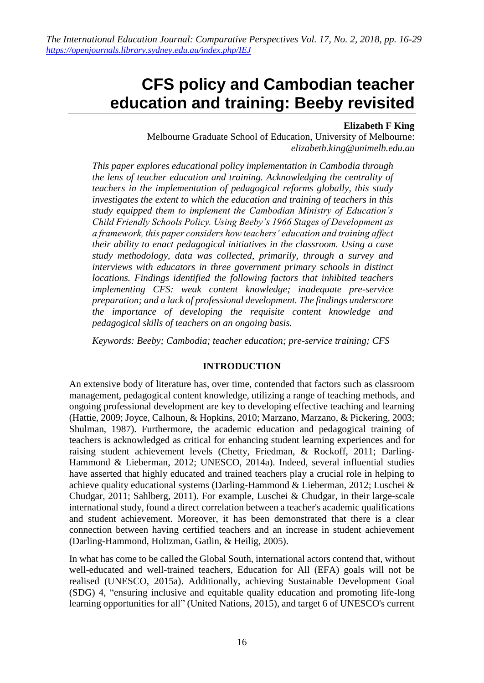# **CFS policy and Cambodian teacher education and training: Beeby revisited**

## **Elizabeth F King**

Melbourne Graduate School of Education, University of Melbourne: *elizabeth.king@unimelb.edu.au*

*This paper explores educational policy implementation in Cambodia through the lens of teacher education and training. Acknowledging the centrality of teachers in the implementation of pedagogical reforms globally, this study investigates the extent to which the education and training of teachers in this study equipped them to implement the Cambodian Ministry of Education's Child Friendly Schools Policy. Using Beeby's 1966 Stages of Development as a framework, this paper considers how teachers' education and training affect their ability to enact pedagogical initiatives in the classroom. Using a case study methodology, data was collected, primarily, through a survey and interviews with educators in three government primary schools in distinct locations. Findings identified the following factors that inhibited teachers implementing CFS: weak content knowledge; inadequate pre-service preparation; and a lack of professional development. The findings underscore the importance of developing the requisite content knowledge and pedagogical skills of teachers on an ongoing basis.*

*Keywords: Beeby; Cambodia; teacher education; pre-service training; CFS*

## **INTRODUCTION**

An extensive body of literature has, over time, contended that factors such as classroom management, pedagogical content knowledge, utilizing a range of teaching methods, and ongoing professional development are key to developing effective teaching and learning (Hattie, 2009; Joyce, Calhoun, & Hopkins, 2010; Marzano, Marzano, & Pickering, 2003; Shulman, 1987). Furthermore, the academic education and pedagogical training of teachers is acknowledged as critical for enhancing student learning experiences and for raising student achievement levels (Chetty, Friedman, & Rockoff, 2011; Darling-Hammond & Lieberman, 2012; UNESCO, 2014a). Indeed, several influential studies have asserted that highly educated and trained teachers play a crucial role in helping to achieve quality educational systems (Darling-Hammond & Lieberman, 2012; Luschei & Chudgar, 2011; Sahlberg, 2011). For example, Luschei & Chudgar, in their large-scale international study, found a direct correlation between a teacher's academic qualifications and student achievement. Moreover, it has been demonstrated that there is a clear connection between having certified teachers and an increase in student achievement (Darling-Hammond, Holtzman, Gatlin, & Heilig, 2005).

In what has come to be called the Global South, international actors contend that, without well-educated and well-trained teachers, Education for All (EFA) goals will not be realised (UNESCO, 2015a). Additionally, achieving Sustainable Development Goal (SDG) 4, "ensuring inclusive and equitable quality education and promoting life-long learning opportunities for all" (United Nations, 2015), and target 6 of UNESCO's current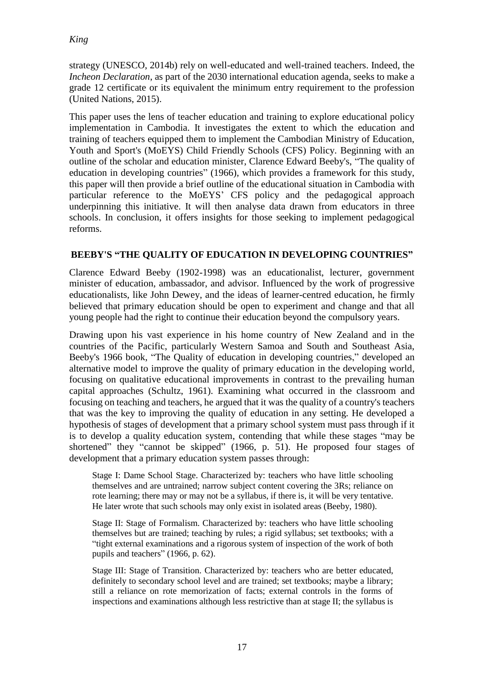strategy (UNESCO, 2014b) rely on well-educated and well-trained teachers. Indeed, the *Incheon Declaration*, as part of the 2030 international education agenda, seeks to make a grade 12 certificate or its equivalent the minimum entry requirement to the profession (United Nations, 2015).

This paper uses the lens of teacher education and training to explore educational policy implementation in Cambodia. It investigates the extent to which the education and training of teachers equipped them to implement the Cambodian Ministry of Education, Youth and Sport's (MoEYS) Child Friendly Schools (CFS) Policy. Beginning with an outline of the scholar and education minister, Clarence Edward Beeby's, "The quality of education in developing countries" (1966), which provides a framework for this study, this paper will then provide a brief outline of the educational situation in Cambodia with particular reference to the MoEYS' CFS policy and the pedagogical approach underpinning this initiative. It will then analyse data drawn from educators in three schools. In conclusion, it offers insights for those seeking to implement pedagogical reforms.

## **BEEBY'S "THE QUALITY OF EDUCATION IN DEVELOPING COUNTRIES"**

Clarence Edward Beeby (1902-1998) was an educationalist, lecturer, government minister of education, ambassador, and advisor. Influenced by the work of progressive educationalists, like John Dewey, and the ideas of learner-centred education, he firmly believed that primary education should be open to experiment and change and that all young people had the right to continue their education beyond the compulsory years.

Drawing upon his vast experience in his home country of New Zealand and in the countries of the Pacific, particularly Western Samoa and South and Southeast Asia, Beeby's 1966 book, "The Quality of education in developing countries," developed an alternative model to improve the quality of primary education in the developing world, focusing on qualitative educational improvements in contrast to the prevailing human capital approaches (Schultz, 1961). Examining what occurred in the classroom and focusing on teaching and teachers, he argued that it was the quality of a country's teachers that was the key to improving the quality of education in any setting. He developed a hypothesis of stages of development that a primary school system must pass through if it is to develop a quality education system, contending that while these stages "may be shortened" they "cannot be skipped" (1966, p. 51). He proposed four stages of development that a primary education system passes through:

Stage I: Dame School Stage. Characterized by: teachers who have little schooling themselves and are untrained; narrow subject content covering the 3Rs; reliance on rote learning; there may or may not be a syllabus, if there is, it will be very tentative. He later wrote that such schools may only exist in isolated areas (Beeby, 1980).

Stage II: Stage of Formalism. Characterized by: teachers who have little schooling themselves but are trained; teaching by rules; a rigid syllabus; set textbooks; with a "tight external examinations and a rigorous system of inspection of the work of both pupils and teachers" (1966, p. 62).

Stage III: Stage of Transition. Characterized by: teachers who are better educated, definitely to secondary school level and are trained; set textbooks; maybe a library; still a reliance on rote memorization of facts; external controls in the forms of inspections and examinations although less restrictive than at stage II; the syllabus is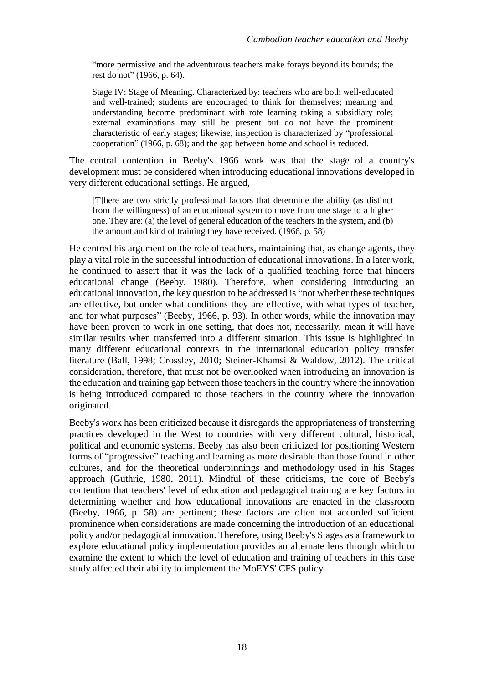"more permissive and the adventurous teachers make forays beyond its bounds; the rest do not" (1966, p. 64).

Stage IV: Stage of Meaning. Characterized by: teachers who are both well-educated and well-trained; students are encouraged to think for themselves; meaning and understanding become predominant with rote learning taking a subsidiary role; external examinations may still be present but do not have the prominent characteristic of early stages; likewise, inspection is characterized by "professional cooperation" (1966, p. 68); and the gap between home and school is reduced.

The central contention in Beeby's 1966 work was that the stage of a country's development must be considered when introducing educational innovations developed in very different educational settings. He argued,

[T]here are two strictly professional factors that determine the ability (as distinct from the willingness) of an educational system to move from one stage to a higher one. They are: (a) the level of general education of the teachers in the system, and (b) the amount and kind of training they have received. (1966, p. 58)

He centred his argument on the role of teachers, maintaining that, as change agents, they play a vital role in the successful introduction of educational innovations. In a later work, he continued to assert that it was the lack of a qualified teaching force that hinders educational change (Beeby, 1980). Therefore, when considering introducing an educational innovation, the key question to be addressed is "not whether these techniques are effective, but under what conditions they are effective, with what types of teacher, and for what purposes" (Beeby, 1966, p. 93). In other words, while the innovation may have been proven to work in one setting, that does not, necessarily, mean it will have similar results when transferred into a different situation. This issue is highlighted in many different educational contexts in the international education policy transfer literature (Ball, 1998; Crossley, 2010; Steiner-Khamsi & Waldow, 2012). The critical consideration, therefore, that must not be overlooked when introducing an innovation is the education and training gap between those teachers in the country where the innovation is being introduced compared to those teachers in the country where the innovation originated.

Beeby's work has been criticized because it disregards the appropriateness of transferring practices developed in the West to countries with very different cultural, historical, political and economic systems. Beeby has also been criticized for positioning Western forms of "progressive" teaching and learning as more desirable than those found in other cultures, and for the theoretical underpinnings and methodology used in his Stages approach (Guthrie, 1980, 2011). Mindful of these criticisms, the core of Beeby's contention that teachers' level of education and pedagogical training are key factors in determining whether and how educational innovations are enacted in the classroom (Beeby, 1966, p. 58) are pertinent; these factors are often not accorded sufficient prominence when considerations are made concerning the introduction of an educational policy and/or pedagogical innovation. Therefore, using Beeby's Stages as a framework to explore educational policy implementation provides an alternate lens through which to examine the extent to which the level of education and training of teachers in this case study affected their ability to implement the MoEYS' CFS policy.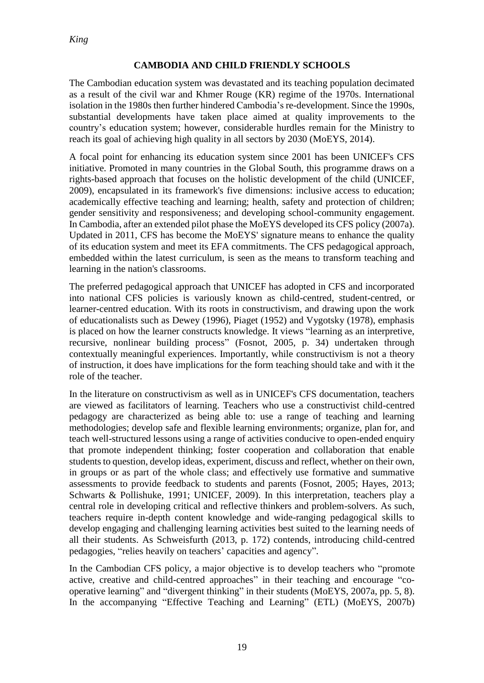## **CAMBODIA AND CHILD FRIENDLY SCHOOLS**

The Cambodian education system was devastated and its teaching population decimated as a result of the civil war and Khmer Rouge (KR) regime of the 1970s. International isolation in the 1980s then further hindered Cambodia's re-development. Since the 1990s, substantial developments have taken place aimed at quality improvements to the country's education system; however, considerable hurdles remain for the Ministry to reach its goal of achieving high quality in all sectors by 2030 (MoEYS, 2014).

A focal point for enhancing its education system since 2001 has been UNICEF's CFS initiative. Promoted in many countries in the Global South, this programme draws on a rights-based approach that focuses on the holistic development of the child (UNICEF, 2009), encapsulated in its framework's five dimensions: inclusive access to education; academically effective teaching and learning; health, safety and protection of children; gender sensitivity and responsiveness; and developing school-community engagement. In Cambodia, after an extended pilot phase the MoEYS developed its CFS policy (2007a). Updated in 2011, CFS has become the MoEYS' signature means to enhance the quality of its education system and meet its EFA commitments. The CFS pedagogical approach, embedded within the latest curriculum, is seen as the means to transform teaching and learning in the nation's classrooms.

The preferred pedagogical approach that UNICEF has adopted in CFS and incorporated into national CFS policies is variously known as child-centred, student-centred, or learner-centred education. With its roots in constructivism, and drawing upon the work of educationalists such as Dewey (1996), Piaget (1952) and Vygotsky (1978), emphasis is placed on how the learner constructs knowledge. It views "learning as an interpretive, recursive, nonlinear building process" (Fosnot, 2005, p. 34) undertaken through contextually meaningful experiences. Importantly, while constructivism is not a theory of instruction, it does have implications for the form teaching should take and with it the role of the teacher.

In the literature on constructivism as well as in UNICEF's CFS documentation, teachers are viewed as facilitators of learning. Teachers who use a constructivist child-centred pedagogy are characterized as being able to: use a range of teaching and learning methodologies; develop safe and flexible learning environments; organize, plan for, and teach well-structured lessons using a range of activities conducive to open-ended enquiry that promote independent thinking; foster cooperation and collaboration that enable students to question, develop ideas, experiment, discuss and reflect, whether on their own, in groups or as part of the whole class; and effectively use formative and summative assessments to provide feedback to students and parents (Fosnot, 2005; Hayes, 2013; Schwarts & Pollishuke, 1991; UNICEF, 2009). In this interpretation, teachers play a central role in developing critical and reflective thinkers and problem-solvers. As such, teachers require in-depth content knowledge and wide-ranging pedagogical skills to develop engaging and challenging learning activities best suited to the learning needs of all their students. As Schweisfurth (2013, p. 172) contends, introducing child-centred pedagogies, "relies heavily on teachers' capacities and agency".

In the Cambodian CFS policy, a major objective is to develop teachers who "promote active, creative and child-centred approaches" in their teaching and encourage "cooperative learning" and "divergent thinking" in their students (MoEYS, 2007a, pp. 5, 8). In the accompanying "Effective Teaching and Learning" (ETL) (MoEYS, 2007b)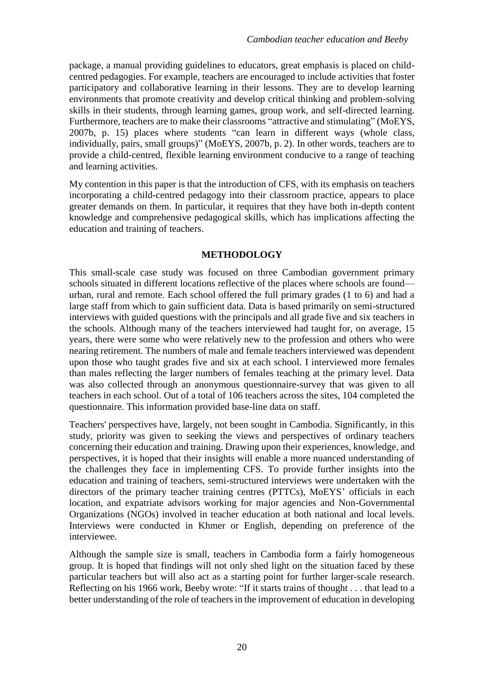package, a manual providing guidelines to educators, great emphasis is placed on childcentred pedagogies. For example, teachers are encouraged to include activities that foster participatory and collaborative learning in their lessons. They are to develop learning environments that promote creativity and develop critical thinking and problem-solving skills in their students, through learning games, group work, and self-directed learning. Furthermore, teachers are to make their classrooms "attractive and stimulating" (MoEYS, 2007b, p. 15) places where students "can learn in different ways (whole class, individually, pairs, small groups)" (MoEYS, 2007b, p. 2). In other words, teachers are to provide a child-centred, flexible learning environment conducive to a range of teaching and learning activities.

My contention in this paper is that the introduction of CFS, with its emphasis on teachers incorporating a child-centred pedagogy into their classroom practice, appears to place greater demands on them. In particular, it requires that they have both in-depth content knowledge and comprehensive pedagogical skills, which has implications affecting the education and training of teachers.

## **METHODOLOGY**

This small-scale case study was focused on three Cambodian government primary schools situated in different locations reflective of the places where schools are found–– urban, rural and remote. Each school offered the full primary grades (1 to 6) and had a large staff from which to gain sufficient data. Data is based primarily on semi-structured interviews with guided questions with the principals and all grade five and six teachers in the schools. Although many of the teachers interviewed had taught for, on average, 15 years, there were some who were relatively new to the profession and others who were nearing retirement. The numbers of male and female teachers interviewed was dependent upon those who taught grades five and six at each school. I interviewed more females than males reflecting the larger numbers of females teaching at the primary level. Data was also collected through an anonymous questionnaire-survey that was given to all teachers in each school. Out of a total of 106 teachers across the sites, 104 completed the questionnaire. This information provided base-line data on staff.

Teachers' perspectives have, largely, not been sought in Cambodia. Significantly, in this study, priority was given to seeking the views and perspectives of ordinary teachers concerning their education and training. Drawing upon their experiences, knowledge, and perspectives, it is hoped that their insights will enable a more nuanced understanding of the challenges they face in implementing CFS. To provide further insights into the education and training of teachers, semi-structured interviews were undertaken with the directors of the primary teacher training centres (PTTCs), MoEYS' officials in each location, and expatriate advisors working for major agencies and Non-Governmental Organizations (NGOs) involved in teacher education at both national and local levels. Interviews were conducted in Khmer or English, depending on preference of the interviewee.

Although the sample size is small, teachers in Cambodia form a fairly homogeneous group. It is hoped that findings will not only shed light on the situation faced by these particular teachers but will also act as a starting point for further larger-scale research. Reflecting on his 1966 work, Beeby wrote: "If it starts trains of thought . . . that lead to a better understanding of the role of teachers in the improvement of education in developing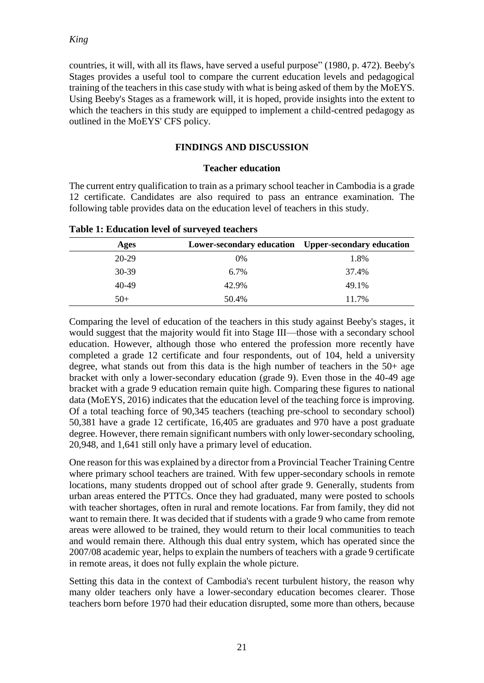countries, it will, with all its flaws, have served a useful purpose" (1980, p. 472). Beeby's Stages provides a useful tool to compare the current education levels and pedagogical training of the teachers in this case study with what is being asked of them by the MoEYS. Using Beeby's Stages as a framework will, it is hoped, provide insights into the extent to which the teachers in this study are equipped to implement a child-centred pedagogy as outlined in the MoEYS' CFS policy.

## **FINDINGS AND DISCUSSION**

#### **Teacher education**

The current entry qualification to train as a primary school teacher in Cambodia is a grade 12 certificate. Candidates are also required to pass an entrance examination. The following table provides data on the education level of teachers in this study.

| Ages      | <b>Lower-secondary education</b> | Upper-secondary education |
|-----------|----------------------------------|---------------------------|
| $20-29$   | 0%                               | 1.8%                      |
| $30 - 39$ | $6.7\%$                          | 37.4%                     |
| 40-49     | 42.9%                            | 49.1%                     |
| $50+$     | 50.4%                            | 11.7%                     |

**Table 1: Education level of surveyed teachers**

Comparing the level of education of the teachers in this study against Beeby's stages, it would suggest that the majority would fit into Stage III––those with a secondary school education. However, although those who entered the profession more recently have completed a grade 12 certificate and four respondents, out of 104, held a university degree, what stands out from this data is the high number of teachers in the 50+ age bracket with only a lower-secondary education (grade 9). Even those in the 40-49 age bracket with a grade 9 education remain quite high. Comparing these figures to national data (MoEYS, 2016) indicates that the education level of the teaching force is improving. Of a total teaching force of 90,345 teachers (teaching pre-school to secondary school) 50,381 have a grade 12 certificate, 16,405 are graduates and 970 have a post graduate degree. However, there remain significant numbers with only lower-secondary schooling, 20,948, and 1,641 still only have a primary level of education.

One reason for this was explained by a director from a Provincial Teacher Training Centre where primary school teachers are trained. With few upper-secondary schools in remote locations, many students dropped out of school after grade 9. Generally, students from urban areas entered the PTTCs. Once they had graduated, many were posted to schools with teacher shortages, often in rural and remote locations. Far from family, they did not want to remain there. It was decided that if students with a grade 9 who came from remote areas were allowed to be trained, they would return to their local communities to teach and would remain there. Although this dual entry system, which has operated since the 2007/08 academic year, helps to explain the numbers of teachers with a grade 9 certificate in remote areas, it does not fully explain the whole picture.

Setting this data in the context of Cambodia's recent turbulent history, the reason why many older teachers only have a lower-secondary education becomes clearer. Those teachers born before 1970 had their education disrupted, some more than others, because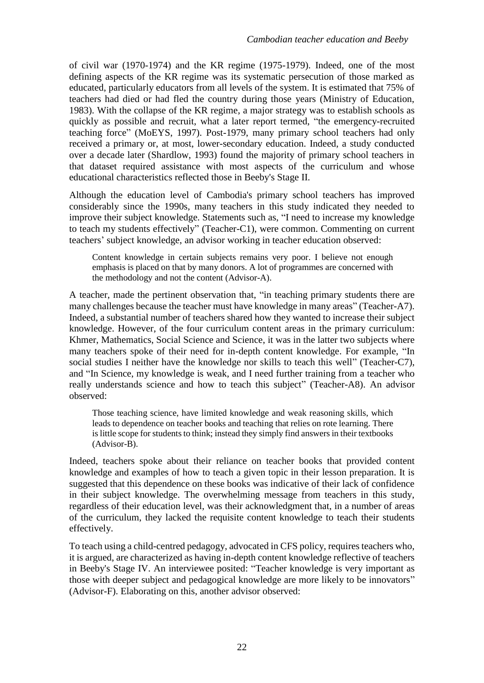of civil war (1970-1974) and the KR regime (1975-1979). Indeed, one of the most defining aspects of the KR regime was its systematic persecution of those marked as educated, particularly educators from all levels of the system. It is estimated that 75% of teachers had died or had fled the country during those years (Ministry of Education, 1983). With the collapse of the KR regime, a major strategy was to establish schools as quickly as possible and recruit, what a later report termed, "the emergency-recruited teaching force" (MoEYS, 1997). Post-1979, many primary school teachers had only received a primary or, at most, lower-secondary education. Indeed, a study conducted over a decade later (Shardlow, 1993) found the majority of primary school teachers in that dataset required assistance with most aspects of the curriculum and whose educational characteristics reflected those in Beeby's Stage II.

Although the education level of Cambodia's primary school teachers has improved considerably since the 1990s, many teachers in this study indicated they needed to improve their subject knowledge. Statements such as, "I need to increase my knowledge to teach my students effectively" (Teacher-C1), were common. Commenting on current teachers' subject knowledge, an advisor working in teacher education observed:

Content knowledge in certain subjects remains very poor. I believe not enough emphasis is placed on that by many donors. A lot of programmes are concerned with the methodology and not the content (Advisor-A).

A teacher, made the pertinent observation that, "in teaching primary students there are many challenges because the teacher must have knowledge in many areas" (Teacher-A7). Indeed, a substantial number of teachers shared how they wanted to increase their subject knowledge. However, of the four curriculum content areas in the primary curriculum: Khmer, Mathematics, Social Science and Science, it was in the latter two subjects where many teachers spoke of their need for in-depth content knowledge. For example, "In social studies I neither have the knowledge nor skills to teach this well" (Teacher-C7), and "In Science, my knowledge is weak, and I need further training from a teacher who really understands science and how to teach this subject" (Teacher-A8). An advisor observed:

Those teaching science, have limited knowledge and weak reasoning skills, which leads to dependence on teacher books and teaching that relies on rote learning. There is little scope for students to think; instead they simply find answers in their textbooks (Advisor-B).

Indeed, teachers spoke about their reliance on teacher books that provided content knowledge and examples of how to teach a given topic in their lesson preparation. It is suggested that this dependence on these books was indicative of their lack of confidence in their subject knowledge. The overwhelming message from teachers in this study, regardless of their education level, was their acknowledgment that, in a number of areas of the curriculum, they lacked the requisite content knowledge to teach their students effectively.

To teach using a child-centred pedagogy, advocated in CFS policy, requires teachers who, it is argued, are characterized as having in-depth content knowledge reflective of teachers in Beeby's Stage IV. An interviewee posited: "Teacher knowledge is very important as those with deeper subject and pedagogical knowledge are more likely to be innovators" (Advisor-F). Elaborating on this, another advisor observed: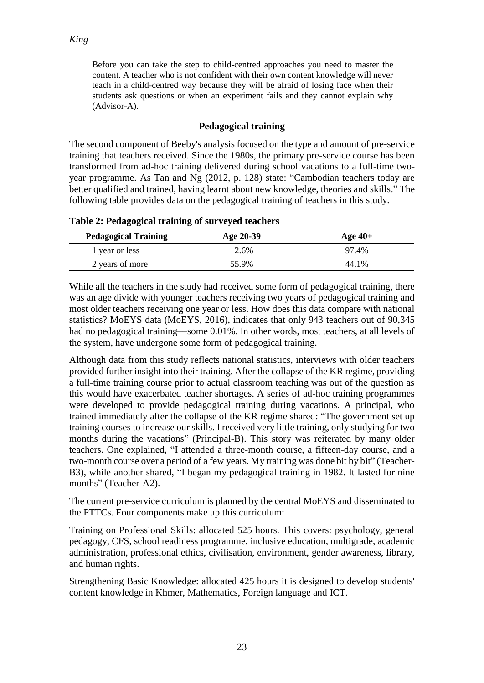Before you can take the step to child-centred approaches you need to master the content. A teacher who is not confident with their own content knowledge will never teach in a child-centred way because they will be afraid of losing face when their students ask questions or when an experiment fails and they cannot explain why (Advisor-A).

## **Pedagogical training**

The second component of Beeby's analysis focused on the type and amount of pre-service training that teachers received. Since the 1980s, the primary pre-service course has been transformed from ad-hoc training delivered during school vacations to a full-time twoyear programme. As Tan and Ng (2012, p. 128) state: "Cambodian teachers today are better qualified and trained, having learnt about new knowledge, theories and skills." The following table provides data on the pedagogical training of teachers in this study.

| $\frac{1}{2}$ and $\frac{1}{2}$ . The case of the contract of the contract of the contract of the contract of the contract of the contract of the contract of the contract of the contract of the contract of the contract of the con |           |           |  |  |
|---------------------------------------------------------------------------------------------------------------------------------------------------------------------------------------------------------------------------------------|-----------|-----------|--|--|
| <b>Pedagogical Training</b>                                                                                                                                                                                                           | Age 20-39 | Age $40+$ |  |  |
| 1 year or less                                                                                                                                                                                                                        | 2.6%      | 97.4%     |  |  |
| 2 years of more                                                                                                                                                                                                                       | 55.9%     | 44.1%     |  |  |

**Table 2: Pedagogical training of surveyed teachers**

While all the teachers in the study had received some form of pedagogical training, there was an age divide with younger teachers receiving two years of pedagogical training and most older teachers receiving one year or less. How does this data compare with national statistics? MoEYS data (MoEYS, 2016), indicates that only 943 teachers out of 90,345 had no pedagogical training—some 0.01%. In other words, most teachers, at all levels of the system, have undergone some form of pedagogical training.

Although data from this study reflects national statistics, interviews with older teachers provided further insight into their training. After the collapse of the KR regime, providing a full-time training course prior to actual classroom teaching was out of the question as this would have exacerbated teacher shortages. A series of ad-hoc training programmes were developed to provide pedagogical training during vacations. A principal, who trained immediately after the collapse of the KR regime shared: "The government set up training courses to increase our skills. I received very little training, only studying for two months during the vacations" (Principal-B). This story was reiterated by many older teachers. One explained, "I attended a three-month course, a fifteen-day course, and a two-month course over a period of a few years. My training was done bit by bit" (Teacher-B3), while another shared, "I began my pedagogical training in 1982. It lasted for nine months" (Teacher-A2).

The current pre-service curriculum is planned by the central MoEYS and disseminated to the PTTCs. Four components make up this curriculum:

Training on Professional Skills: allocated 525 hours. This covers: psychology, general pedagogy, CFS, school readiness programme, inclusive education, multigrade, academic administration, professional ethics, civilisation, environment, gender awareness, library, and human rights.

Strengthening Basic Knowledge: allocated 425 hours it is designed to develop students' content knowledge in Khmer, Mathematics, Foreign language and ICT.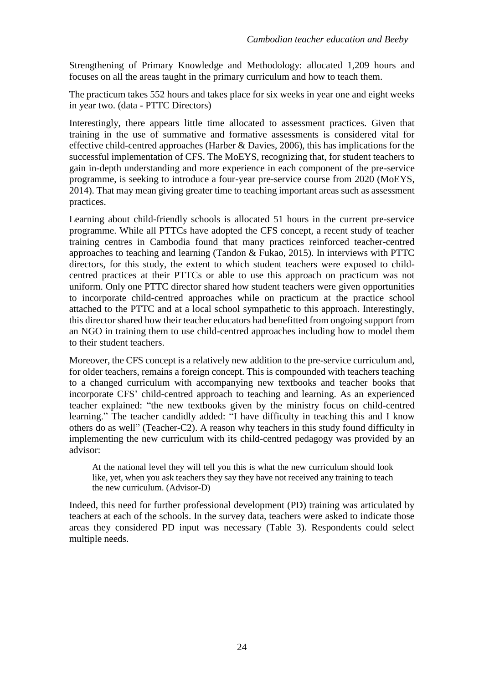Strengthening of Primary Knowledge and Methodology: allocated 1,209 hours and focuses on all the areas taught in the primary curriculum and how to teach them.

The practicum takes 552 hours and takes place for six weeks in year one and eight weeks in year two. (data - PTTC Directors)

Interestingly, there appears little time allocated to assessment practices. Given that training in the use of summative and formative assessments is considered vital for effective child-centred approaches (Harber & Davies, 2006), this has implications for the successful implementation of CFS. The MoEYS, recognizing that, for student teachers to gain in-depth understanding and more experience in each component of the pre-service programme, is seeking to introduce a four-year pre-service course from 2020 (MoEYS, 2014). That may mean giving greater time to teaching important areas such as assessment practices.

Learning about child-friendly schools is allocated 51 hours in the current pre-service programme. While all PTTCs have adopted the CFS concept, a recent study of teacher training centres in Cambodia found that many practices reinforced teacher-centred approaches to teaching and learning (Tandon & Fukao, 2015). In interviews with PTTC directors, for this study, the extent to which student teachers were exposed to childcentred practices at their PTTCs or able to use this approach on practicum was not uniform. Only one PTTC director shared how student teachers were given opportunities to incorporate child-centred approaches while on practicum at the practice school attached to the PTTC and at a local school sympathetic to this approach. Interestingly, this director shared how their teacher educators had benefitted from ongoing support from an NGO in training them to use child-centred approaches including how to model them to their student teachers.

Moreover, the CFS concept is a relatively new addition to the pre-service curriculum and, for older teachers, remains a foreign concept. This is compounded with teachers teaching to a changed curriculum with accompanying new textbooks and teacher books that incorporate CFS' child-centred approach to teaching and learning. As an experienced teacher explained: "the new textbooks given by the ministry focus on child-centred learning." The teacher candidly added: "I have difficulty in teaching this and I know others do as well" (Teacher-C2). A reason why teachers in this study found difficulty in implementing the new curriculum with its child-centred pedagogy was provided by an advisor:

At the national level they will tell you this is what the new curriculum should look like, yet, when you ask teachers they say they have not received any training to teach the new curriculum. (Advisor-D)

Indeed, this need for further professional development (PD) training was articulated by teachers at each of the schools. In the survey data, teachers were asked to indicate those areas they considered PD input was necessary (Table 3). Respondents could select multiple needs.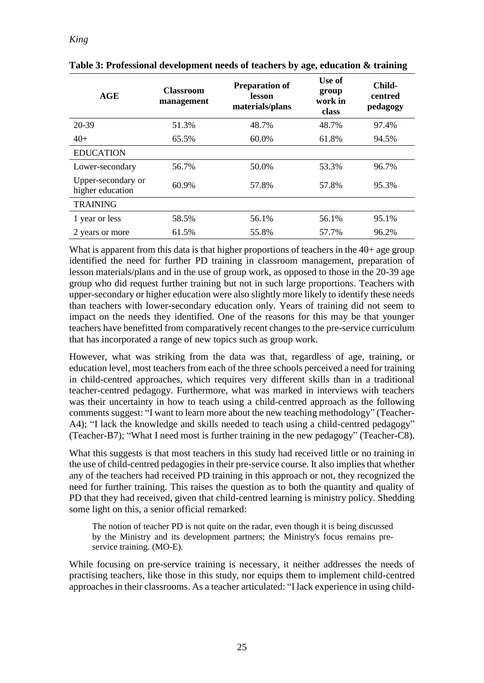| AGE                                    | <b>Classroom</b><br>management | <b>Preparation of</b><br>lesson<br>materials/plans | Use of<br>group<br>work in<br>class | Child-<br>centred<br>pedagogy |
|----------------------------------------|--------------------------------|----------------------------------------------------|-------------------------------------|-------------------------------|
| 20-39                                  | 51.3%                          | 48.7%                                              | 48.7%                               | 97.4%                         |
| $40+$                                  | 65.5%                          | 60.0%                                              | 61.8%                               | 94.5%                         |
| <b>EDUCATION</b>                       |                                |                                                    |                                     |                               |
| Lower-secondary                        | 56.7%                          | 50.0%                                              | 53.3%                               | 96.7%                         |
| Upper-secondary or<br>higher education | 60.9%                          | 57.8%                                              | 57.8%                               | 95.3%                         |
| <b>TRAINING</b>                        |                                |                                                    |                                     |                               |
| 1 year or less                         | 58.5%                          | 56.1%                                              | 56.1%                               | 95.1%                         |
| 2 years or more                        | 61.5%                          | 55.8%                                              | 57.7%                               | 96.2%                         |

**Table 3: Professional development needs of teachers by age, education & training**

What is apparent from this data is that higher proportions of teachers in the 40+ age group identified the need for further PD training in classroom management, preparation of lesson materials/plans and in the use of group work, as opposed to those in the 20-39 age group who did request further training but not in such large proportions. Teachers with upper-secondary or higher education were also slightly more likely to identify these needs than teachers with lower-secondary education only. Years of training did not seem to impact on the needs they identified. One of the reasons for this may be that younger teachers have benefitted from comparatively recent changes to the pre-service curriculum that has incorporated a range of new topics such as group work.

However, what was striking from the data was that, regardless of age, training, or education level, most teachers from each of the three schools perceived a need for training in child-centred approaches, which requires very different skills than in a traditional teacher-centred pedagogy. Furthermore, what was marked in interviews with teachers was their uncertainty in how to teach using a child-centred approach as the following comments suggest: "I want to learn more about the new teaching methodology" (Teacher-A4); "I lack the knowledge and skills needed to teach using a child-centred pedagogy" (Teacher-B7); "What I need most is further training in the new pedagogy" (Teacher-C8).

What this suggests is that most teachers in this study had received little or no training in the use of child-centred pedagogies in their pre-service course. It also implies that whether any of the teachers had received PD training in this approach or not, they recognized the need for further training. This raises the question as to both the quantity and quality of PD that they had received, given that child-centred learning is ministry policy. Shedding some light on this, a senior official remarked:

The notion of teacher PD is not quite on the radar, even though it is being discussed by the Ministry and its development partners; the Ministry's focus remains preservice training. (MO-E).

While focusing on pre-service training is necessary, it neither addresses the needs of practising teachers, like those in this study, nor equips them to implement child-centred approaches in their classrooms. As a teacher articulated: "I lack experience in using child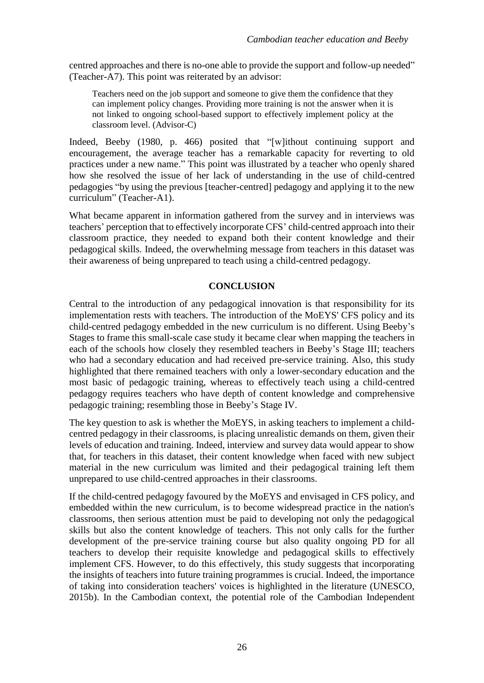centred approaches and there is no-one able to provide the support and follow-up needed" (Teacher-A7). This point was reiterated by an advisor:

Teachers need on the job support and someone to give them the confidence that they can implement policy changes. Providing more training is not the answer when it is not linked to ongoing school-based support to effectively implement policy at the classroom level. (Advisor-C)

Indeed, Beeby (1980, p. 466) posited that "[w]ithout continuing support and encouragement, the average teacher has a remarkable capacity for reverting to old practices under a new name." This point was illustrated by a teacher who openly shared how she resolved the issue of her lack of understanding in the use of child-centred pedagogies "by using the previous [teacher-centred] pedagogy and applying it to the new curriculum" (Teacher-A1).

What became apparent in information gathered from the survey and in interviews was teachers' perception that to effectively incorporate CFS' child-centred approach into their classroom practice, they needed to expand both their content knowledge and their pedagogical skills. Indeed, the overwhelming message from teachers in this dataset was their awareness of being unprepared to teach using a child-centred pedagogy.

# **CONCLUSION**

Central to the introduction of any pedagogical innovation is that responsibility for its implementation rests with teachers. The introduction of the MoEYS' CFS policy and its child-centred pedagogy embedded in the new curriculum is no different. Using Beeby's Stages to frame this small-scale case study it became clear when mapping the teachers in each of the schools how closely they resembled teachers in Beeby's Stage III; teachers who had a secondary education and had received pre-service training. Also, this study highlighted that there remained teachers with only a lower-secondary education and the most basic of pedagogic training, whereas to effectively teach using a child-centred pedagogy requires teachers who have depth of content knowledge and comprehensive pedagogic training; resembling those in Beeby's Stage IV.

The key question to ask is whether the MoEYS, in asking teachers to implement a childcentred pedagogy in their classrooms, is placing unrealistic demands on them, given their levels of education and training. Indeed, interview and survey data would appear to show that, for teachers in this dataset, their content knowledge when faced with new subject material in the new curriculum was limited and their pedagogical training left them unprepared to use child-centred approaches in their classrooms.

If the child-centred pedagogy favoured by the MoEYS and envisaged in CFS policy, and embedded within the new curriculum, is to become widespread practice in the nation's classrooms, then serious attention must be paid to developing not only the pedagogical skills but also the content knowledge of teachers. This not only calls for the further development of the pre-service training course but also quality ongoing PD for all teachers to develop their requisite knowledge and pedagogical skills to effectively implement CFS. However, to do this effectively, this study suggests that incorporating the insights of teachers into future training programmes is crucial. Indeed, the importance of taking into consideration teachers' voices is highlighted in the literature (UNESCO, 2015b). In the Cambodian context, the potential role of the Cambodian Independent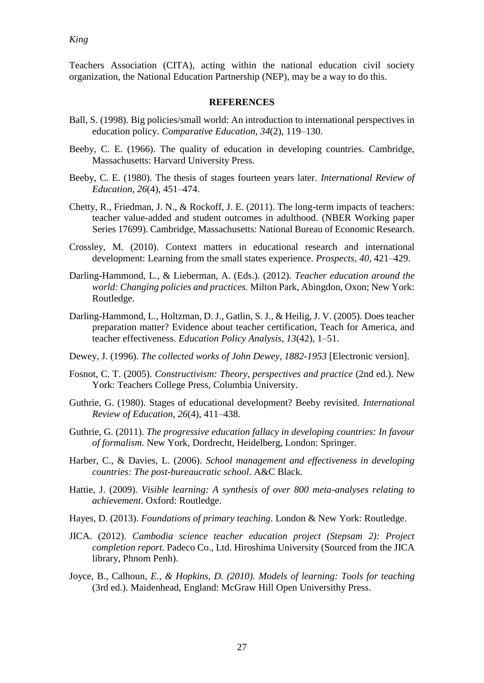## *King*

Teachers Association (CITA), acting within the national education civil society organization, the National Education Partnership (NEP), may be a way to do this.

### **REFERENCES**

- Ball, S. (1998). Big policies/small world: An introduction to international perspectives in education policy. *Comparative Education*, *34*(2), 119–130.
- Beeby, C. E. (1966). The quality of education in developing countries. Cambridge, Massachusetts: Harvard University Press.
- Beeby, C. E. (1980). The thesis of stages fourteen years later. *International Review of Education*, *26*(4), 451–474.
- Chetty, R., Friedman, J. N., & Rockoff, J. E. (2011). The long-term impacts of teachers: teacher value-added and student outcomes in adulthood. (NBER Working paper Series 17699). Cambridge, Massachusetts: National Bureau of Economic Research.
- Crossley, M. (2010). Context matters in educational research and international development: Learning from the small states experience. *Prospects*, *40*, 421–429.
- Darling-Hammond, L., & Lieberman, A. (Eds.). (2012). *Teacher education around the world: Changing policies and practices.* Milton Park, Abingdon, Oxon; New York: Routledge.
- Darling-Hammond, L., Holtzman, D. J., Gatlin, S. J., & Heilig, J. V. (2005). Does teacher preparation matter? Evidence about teacher certification, Teach for America, and teacher effectiveness. *Education Policy Analysis*, *13*(42), 1–51.
- Dewey, J. (1996). *The collected works of John Dewey, 1882-1953* [Electronic version].
- Fosnot, C. T. (2005). *Constructivism: Theory, perspectives and practice* (2nd ed.). New York: Teachers College Press, Columbia University.
- Guthrie, G. (1980). Stages of educational development? Beeby revisited. *International Review of Education*, *26*(4), 411–438.
- Guthrie, G. (2011). *The progressive education fallacy in developing countries: In favour of formalism.* New York, Dordrecht, Heidelberg, London: Springer.
- Harber, C., & Davies, L. (2006). *School management and effectiveness in developing countries: The post-bureaucratic school*. A&C Black.
- Hattie, J. (2009). *Visible learning: A synthesis of over 800 meta-analyses relating to achievement*. Oxford: Routledge.
- Hayes, D. (2013). *Foundations of primary teaching*. London & New York: Routledge.
- JICA. (2012). *Cambodia science teacher education project (Stepsam 2): Project completion report.* Padeco Co., Ltd. Hiroshima University (Sourced from the JICA library, Phnom Penh).
- Joyce, B., Calhoun*, E., & Hopkins, D. (2010). Models of learning: Tools for teaching* (3rd ed.). Maidenhead, England: McGraw Hill Open Universithy Press.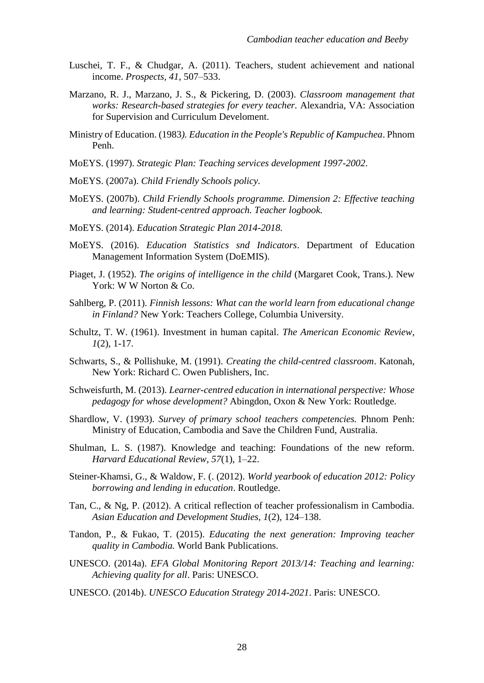- Luschei, T. F., & Chudgar, A. (2011). Teachers, student achievement and national income. *Prospects, 41*, 507–533.
- Marzano, R. J., Marzano, J. S., & Pickering, D. (2003). *Classroom management that works: Research-based strategies for every teacher.* Alexandria, VA: Association for Supervision and Curriculum Develoment.
- Ministry of Education. (1983*). Education in the People's Republic of Kampuchea*. Phnom Penh.
- MoEYS. (1997). *Strategic Plan: Teaching services development 1997-2002*.
- MoEYS. (2007a). *Child Friendly Schools policy.*
- MoEYS. (2007b). *Child Friendly Schools programme. Dimension 2: Effective teaching and learning: Student-centred approach. Teacher logbook.*
- MoEYS. (2014). *Education Strategic Plan 2014-2018.*
- MoEYS. (2016). *Education Statistics snd Indicators*. Department of Education Management Information System (DoEMIS).
- Piaget, J. (1952). *The origins of intelligence in the child* (Margaret Cook, Trans.). New York: W W Norton & Co.
- Sahlberg, P. (2011). *Finnish lessons: What can the world learn from educational change in Finland?* New York: Teachers College, Columbia University.
- Schultz, T. W. (1961). Investment in human capital. *The American Economic Review*, *1*(2), 1-17.
- Schwarts, S., & Pollishuke, M. (1991). *Creating the child-centred classroom*. Katonah, New York: Richard C. Owen Publishers, Inc.
- Schweisfurth, M. (2013). *Learner-centred education in international perspective: Whose pedagogy for whose development?* Abingdon, Oxon & New York: Routledge.
- Shardlow, V. (1993). *Survey of primary school teachers competencies.* Phnom Penh: Ministry of Education, Cambodia and Save the Children Fund, Australia.
- Shulman, L. S. (1987). Knowledge and teaching: Foundations of the new reform. *Harvard Educational Review*, *57*(1), 1–22.
- Steiner-Khamsi, G., & Waldow, F. (. (2012). *World yearbook of education 2012: Policy borrowing and lending in education*. Routledge.
- Tan, C., & Ng, P. (2012). A critical reflection of teacher professionalism in Cambodia. *Asian Education and Development Studies*, *1*(2), 124–138.
- Tandon, P., & Fukao, T. (2015). *Educating the next generation: Improving teacher quality in Cambodia.* World Bank Publications.
- UNESCO. (2014a). *EFA Global Monitoring Report 2013/14: Teaching and learning: Achieving quality for all*. Paris: UNESCO.
- UNESCO. (2014b). *UNESCO Education Strategy 2014-2021*. Paris: UNESCO.